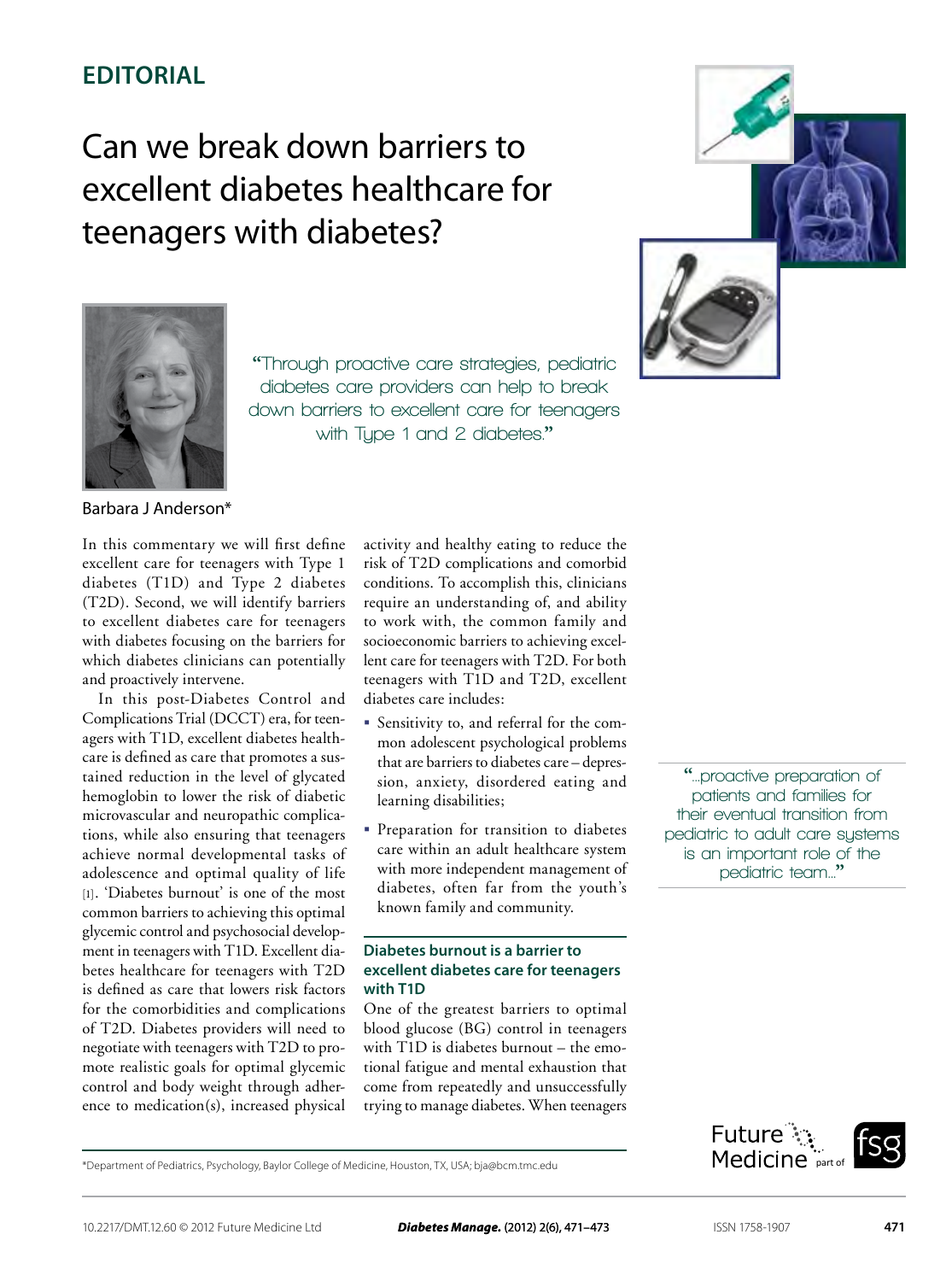## **Editorial**

# Can we break down barriers to excellent diabetes healthcare for teenagers with diabetes?



**"Through proactive care strategies, pediatric diabetes care providers can help to break down barriers to excellent care for teenagers with Type 1 and 2 diabetes."**



Barbara J Anderson\*

In this commentary we will first define excellent care for teenagers with Type 1 diabetes (T1D) and Type 2 diabetes (T2D). Second, we will identify barriers to excellent diabetes care for teenagers with diabetes focusing on the barriers for which diabetes clinicians can potentially and proactively intervene.

In this post-Diabetes Control and Complications Trial (DCCT) era, for teenagers with T1D, excellent diabetes healthcare is defined as care that promotes a sustained reduction in the level of glycated hemoglobin to lower the risk of diabetic microvascular and neuropathic complications, while also ensuring that teenagers achieve normal developmental tasks of adolescence and optimal quality of life [1]. 'Diabetes burnout' is one of the most common barriers to achieving this optimal glycemic control and psychosocial development in teenagers with T1D. Excellent diabetes healthcare for teenagers with T2D is defined as care that lowers risk factors for the comorbidities and complications of T2D. Diabetes providers will need to negotiate with teenagers with T2D to promote realistic goals for optimal glycemic control and body weight through adherence to medication(s), increased physical activity and healthy eating to reduce the risk of T2D complications and comorbid conditions. To accomplish this, clinicians require an understanding of, and ability to work with, the common family and socioeconomic barriers to achieving excellent care for teenagers with T2D. For both teenagers with T1D and T2D, excellent diabetes care includes:

- Sensitivity to, and referral for the common adolescent psychological problems that are barriers to diabetes care – depression, anxiety, disordered eating and learning disabilities;
- **Preparation for transition to diabetes** care within an adult healthcare system with more independent management of diabetes, often far from the youth's known family and community.

### **Diabetes burnout is a barrier to excellent diabetes care for teenagers with T1D**

One of the greatest barriers to optimal blood glucose (BG) control in teenagers with T1D is diabetes burnout – the emotional fatigue and mental exhaustion that come from repeatedly and unsuccessfully trying to manage diabetes. When teenagers

**"...proactive preparation of patients and families for their eventual transition from pediatric to adult care systems is an important role of the pediatric team..."**

\*Department of Pediatrics, Psychology, Baylor College of Medicine, Houston, TX, USA; bja@bcm.tmc.edu

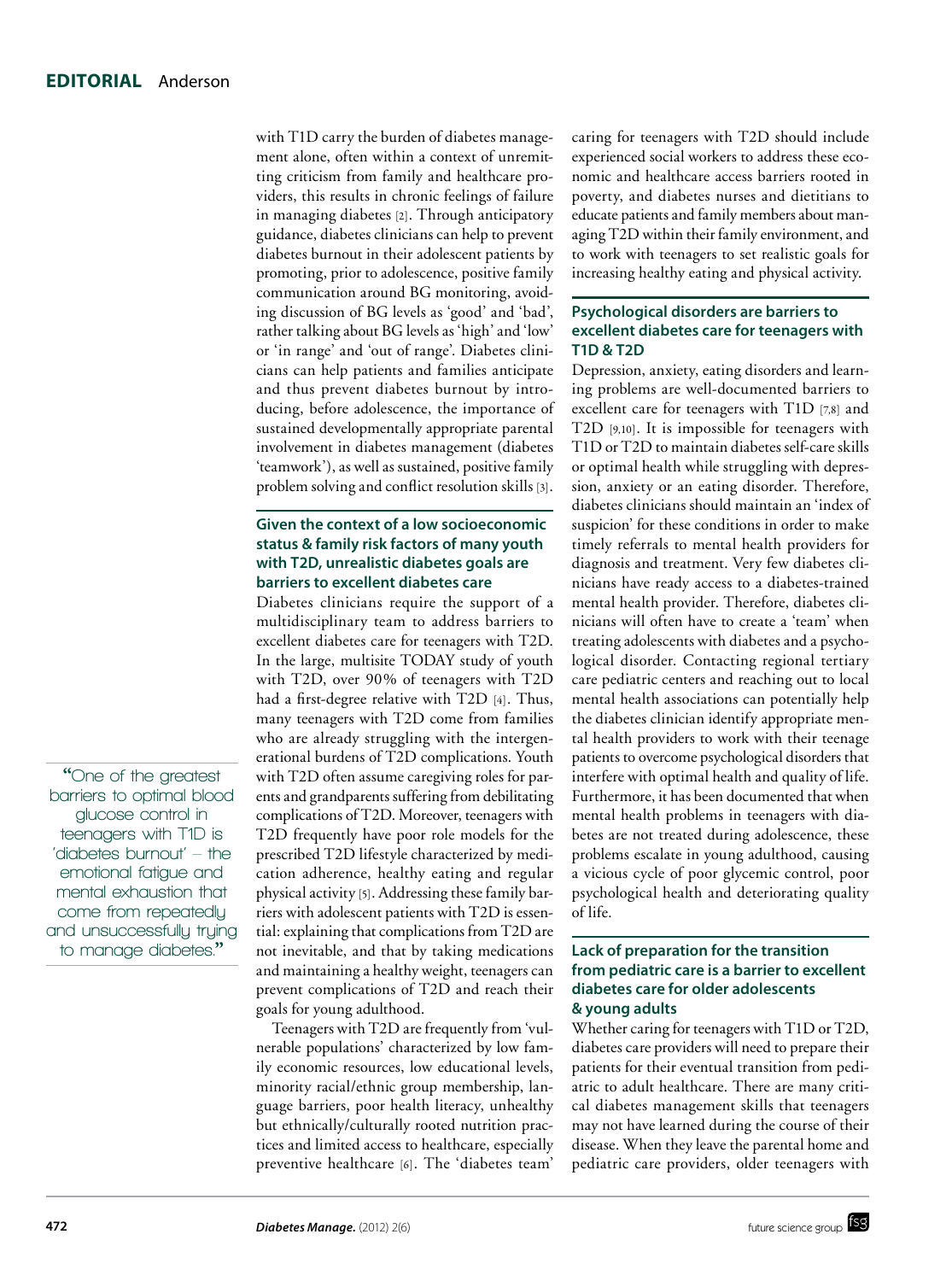with T1D carry the burden of diabetes management alone, often within a context of unremitting criticism from family and healthcare providers, this results in chronic feelings of failure in managing diabetes [2]. Through anticipatory guidance, diabetes clinicians can help to prevent diabetes burnout in their adolescent patients by promoting, prior to adolescence, positive family communication around BG monitoring, avoiding discussion of BG levels as 'good' and 'bad', rather talking about BG levels as 'high' and 'low' or 'in range' and 'out of range'. Diabetes clinicians can help patients and families anticipate and thus prevent diabetes burnout by introducing, before adolescence, the importance of sustained developmentally appropriate parental involvement in diabetes management (diabetes 'teamwork'), as well as sustained, positive family problem solving and conflict resolution skills [3].

### **Given the context of a low socioeconomic status & family risk factors of many youth with T2D, unrealistic diabetes goals are barriers to excellent diabetes care**

Diabetes clinicians require the support of a multidisciplinary team to address barriers to excellent diabetes care for teenagers with T2D. In the large, multisite TODAY study of youth with T2D, over 90% of teenagers with T2D had a first-degree relative with T2D [4]. Thus, many teenagers with T2D come from families who are already struggling with the intergenerational burdens of T2D complications. Youth with T2D often assume caregiving roles for parents and grandparents suffering from debilitating complications of T2D. Moreover, teenagers with T2D frequently have poor role models for the prescribed T2D lifestyle characterized by medication adherence, healthy eating and regular physical activity [5]. Addressing these family barriers with adolescent patients with T2D is essential: explaining that complications from T2D are not inevitable, and that by taking medications and maintaining a healthy weight, teenagers can prevent complications of T2D and reach their goals for young adulthood.

Teenagers with T2D are frequently from 'vulnerable populations' characterized by low family economic resources, low educational levels, minority racial/ethnic group membership, language barriers, poor health literacy, unhealthy but ethnically/culturally rooted nutrition practices and limited access to healthcare, especially preventive healthcare [6]. The 'diabetes team'

caring for teenagers with T2D should include experienced social workers to address these economic and healthcare access barriers rooted in poverty, and diabetes nurses and dietitians to educate patients and family members about managing T2D within their family environment, and to work with teenagers to set realistic goals for increasing healthy eating and physical activity.

### **Psychological disorders are barriers to excellent diabetes care for teenagers with T1D & T2D**

Depression, anxiety, eating disorders and learning problems are well-documented barriers to excellent care for teenagers with T1D [7,8] and T2D [9,10]. It is impossible for teenagers with T1D or T2D to maintain diabetes self-care skills or optimal health while struggling with depression, anxiety or an eating disorder. Therefore, diabetes clinicians should maintain an 'index of suspicion' for these conditions in order to make timely referrals to mental health providers for diagnosis and treatment. Very few diabetes clinicians have ready access to a diabetes-trained mental health provider. Therefore, diabetes clinicians will often have to create a 'team' when treating adolescents with diabetes and a psychological disorder. Contacting regional tertiary care pediatric centers and reaching out to local mental health associations can potentially help the diabetes clinician identify appropriate mental health providers to work with their teenage patients to overcome psychological disorders that interfere with optimal health and quality of life. Furthermore, it has been documented that when mental health problems in teenagers with diabetes are not treated during adolescence, these problems escalate in young adulthood, causing a vicious cycle of poor glycemic control, poor psychological health and deteriorating quality of life.

#### **Lack of preparation for the transition from pediatric care is a barrier to excellent diabetes care for older adolescents & young adults**

Whether caring for teenagers with T1D or T2D, diabetes care providers will need to prepare their patients for their eventual transition from pediatric to adult healthcare. There are many critical diabetes management skills that teenagers may not have learned during the course of their disease. When they leave the parental home and pediatric care providers, older teenagers with

**"One of the greatest barriers to optimal blood glucose control in teenagers with T1D is 'diabetes burnout' – the emotional fatigue and mental exhaustion that come from repeatedly and unsuccessfully trying to manage diabetes."**